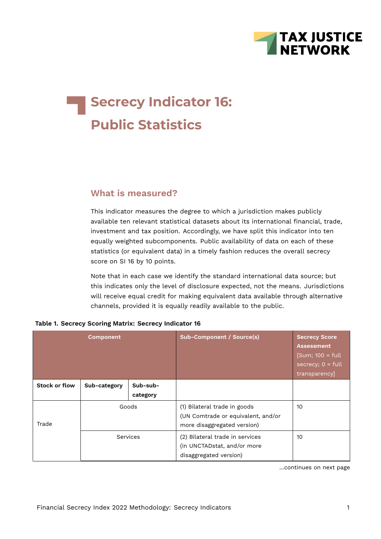

# **Secrecy Indicator 16: Public Statistics**

## **What is measured?**

This indicator measures the degree to which a jurisdiction makes publicly available ten relevant statistical datasets about its international financial, trade, investment and tax position. Accordingly, we have split this indicator into ten equally weighted subcomponents. Public availability of data on each of these statistics (or equivalent data) in a timely fashion reduces the overall secrecy score on SI 16 by 10 points.

Note that in each case we identify the standard international data source; but this indicates only the level of disclosure expected, not the means. Jurisdictions will receive equal credit for making equivalent data available through alternative channels, provided it is equally readily available to the public.

|               | <b>Component</b> |                      | <b>Sub-Component / Source(s)</b>                                                                  | <b>Secrecy Score</b><br><b>Assessment</b><br>$[Sum: 100 = full$<br>secrecy; $0 = full$<br>transparency |
|---------------|------------------|----------------------|---------------------------------------------------------------------------------------------------|--------------------------------------------------------------------------------------------------------|
| Stock or flow | Sub-category     | Sub-sub-<br>category |                                                                                                   |                                                                                                        |
| Trade         | Goods            |                      | (1) Bilateral trade in goods<br>(UN Comtrade or equivalent, and/or<br>more disaggregated version) | 10                                                                                                     |
|               | Services         |                      | (2) Bilateral trade in services<br>(in UNCTADstat, and/or more<br>disaggregated version)          | 10                                                                                                     |

#### **Table 1. Secrecy Scoring Matrix: Secrecy Indicator 16**

…continues on next page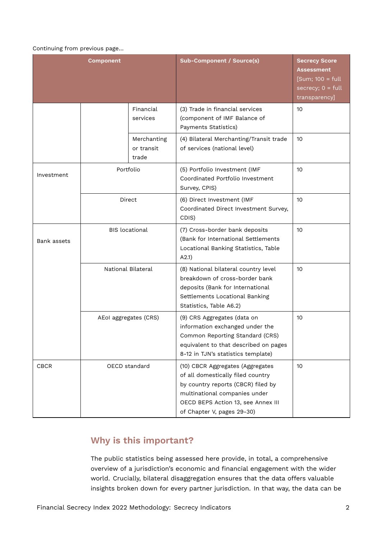#### Continuing from previous page…

|             | <b>Component</b>      |                                    | <b>Sub-Component / Source(s)</b>                                                                                                                                                                                 | <b>Secrecy Score</b><br><b>Assessment</b><br>$[Sum; 100 = full]$<br>secrecy; $0 = full$<br>transparency] |
|-------------|-----------------------|------------------------------------|------------------------------------------------------------------------------------------------------------------------------------------------------------------------------------------------------------------|----------------------------------------------------------------------------------------------------------|
|             |                       | Financial<br>services              | (3) Trade in financial services<br>(component of IMF Balance of<br>Payments Statistics)                                                                                                                          | 10                                                                                                       |
|             |                       | Merchanting<br>or transit<br>trade | (4) Bilateral Merchanting/Transit trade<br>of services (national level)                                                                                                                                          | 10                                                                                                       |
| Investment  | Portfolio             |                                    | (5) Portfolio Investment (IMF<br>Coordinated Portfolio Investment<br>Survey, CPIS)                                                                                                                               | 10                                                                                                       |
|             |                       | Direct                             | (6) Direct Investment (IMF<br>Coordinated Direct Investment Survey,<br>CDIS)                                                                                                                                     | 10                                                                                                       |
| Bank assets |                       | <b>BIS</b> locational              | (7) Cross-border bank deposits<br>(Bank for International Settlements<br>Locational Banking Statistics, Table<br>A2.1)                                                                                           | 10                                                                                                       |
|             |                       | National Bilateral                 | (8) National bilateral country level<br>breakdown of cross-border bank<br>deposits (Bank for International<br>Settlements Locational Banking<br>Statistics, Table A6.2)                                          | 10                                                                                                       |
|             | AEol aggregates (CRS) |                                    | (9) CRS Aggregates (data on<br>information exchanged under the<br>Common Reporting Standard (CRS)<br>equivalent to that described on pages<br>8-12 in TJN's statistics template)                                 | 10                                                                                                       |
| <b>CBCR</b> | OECD standard         |                                    | (10) CBCR Aggregates (Aggregates<br>of all domestically filed country<br>by country reports (CBCR) filed by<br>multinational companies under<br>OECD BEPS Action 13, see Annex III<br>of Chapter V, pages 29-30) | 10                                                                                                       |

# **Why is this important?**

The public statistics being assessed here provide, in total, a comprehensive overview of a jurisdiction's economic and financial engagement with the wider world. Crucially, bilateral disaggregation ensures that the data offers valuable insights broken down for every partner jurisdiction. In that way, the data can be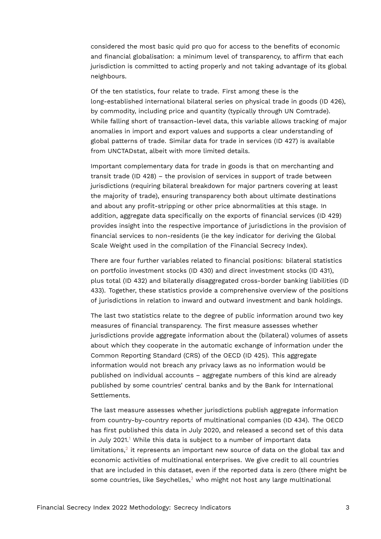considered the most basic quid pro quo for access to the benefits of economic and financial globalisation: a minimum level of transparency, to affirm that each jurisdiction is committed to acting properly and not taking advantage of its global neighbours.

Of the ten statistics, four relate to trade. First among these is the long-established international bilateral series on physical trade in goods (ID 426), by commodity, including price and quantity (typically through UN Comtrade). While falling short of transaction-level data, this variable allows tracking of major anomalies in import and export values and supports a clear understanding of global patterns of trade. Similar data for trade in services (ID 427) is available from UNCTADstat, albeit with more limited details.

Important complementary data for trade in goods is that on merchanting and transit trade (ID 428) – the provision of services in support of trade between jurisdictions (requiring bilateral breakdown for major partners covering at least the majority of trade), ensuring transparency both about ultimate destinations and about any profit-stripping or other price abnormalities at this stage. In addition, aggregate data specifically on the exports of financial services (ID 429) provides insight into the respective importance of jurisdictions in the provision of financial services to non-residents (ie the key indicator for deriving the Global Scale Weight used in the compilation of the Financial Secrecy Index).

There are four further variables related to financial positions: bilateral statistics on portfolio investment stocks (ID 430) and direct investment stocks (ID 431), plus total (ID 432) and bilaterally disaggregated cross-border banking liabilities (ID 433). Together, these statistics provide a comprehensive overview of the positions of jurisdictions in relation to inward and outward investment and bank holdings.

The last two statistics relate to the degree of public information around two key measures of financial transparency. The first measure assesses whether jurisdictions provide aggregate information about the (bilateral) volumes of assets about which they cooperate in the automatic exchange of information under the Common Reporting Standard (CRS) of the OECD (ID 425). This aggregate information would not breach any privacy laws as no information would be published on individual accounts – aggregate numbers of this kind are already published by some countries' central banks and by the Bank for International Settlements.

<span id="page-2-2"></span><span id="page-2-1"></span><span id="page-2-0"></span>The last measure assesses whether jurisdictions publish aggregate information from country-by-country reports of multinational companies (ID 434). The OECD has first published this data in July 2020, and released a second set of this data in July 202[1](#page-12-0).<sup>1</sup> While this data is subject to a number of important data limitations, $^2$  $^2$  it represents an important new source of data on the global tax and economic activities of multinational enterprises. We give credit to all countries that are included in this dataset, even if the reported data is zero (there might be some countries, like Seychelles, $3$  who might not host any large multinational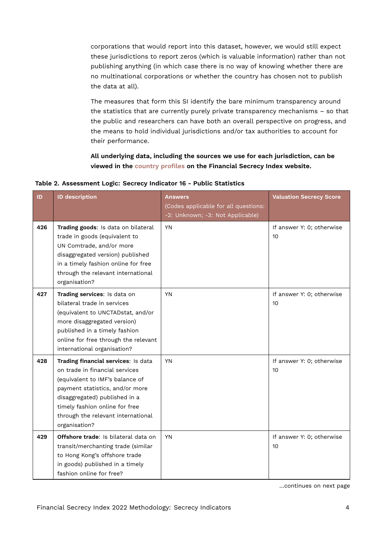corporations that would report into this dataset, however, we would still expect these jurisdictions to report zeros (which is valuable information) rather than not publishing anything (in which case there is no way of knowing whether there are no multinational corporations or whether the country has chosen not to publish the data at all).

The measures that form this SI identify the bare minimum transparency around the statistics that are currently purely private transparency mechanisms – so that the public and researchers can have both an overall perspective on progress, and the means to hold individual jurisdictions and/or tax authorities to account for their performance.

**All underlying data, including the sources we use for each jurisdiction, can be viewed in the [country profiles](https://fsi.taxjustice.net/country-detail) on the Financial Secrecy Index website.**

| ID  | <b>ID description</b>                                                                                                                                                                                                                                                 | <b>Answers</b><br>(Codes applicable for all questions:<br>-2: Unknown; -3: Not Applicable) | <b>Valuation Secrecy Score</b>  |
|-----|-----------------------------------------------------------------------------------------------------------------------------------------------------------------------------------------------------------------------------------------------------------------------|--------------------------------------------------------------------------------------------|---------------------------------|
| 426 | Trading goods: Is data on bilateral<br>trade in goods (equivalent to<br>UN Comtrade, and/or more<br>disaggregated version) published<br>in a timely fashion online for free<br>through the relevant international<br>organisation?                                    | <b>YN</b>                                                                                  | If answer Y: 0; otherwise<br>10 |
| 427 | Trading services: Is data on<br>bilateral trade in services<br>(equivalent to UNCTADstat, and/or<br>more disaggregated version)<br>published in a timely fashion<br>online for free through the relevant<br>international organisation?                               | <b>YN</b>                                                                                  | If answer Y: 0; otherwise<br>10 |
| 428 | Trading financial services: Is data<br>on trade in financial services<br>(equivalent to IMF's balance of<br>payment statistics, and/or more<br>disaggregated) published in a<br>timely fashion online for free<br>through the relevant international<br>organisation? | <b>YN</b>                                                                                  | If answer Y: 0; otherwise<br>10 |
| 429 | Offshore trade: Is bilateral data on<br>transit/merchanting trade (similar<br>to Hong Kong's offshore trade<br>in goods) published in a timely<br>fashion online for free?                                                                                            | <b>YN</b>                                                                                  | If answer Y: 0; otherwise<br>10 |

**Table 2. Assessment Logic: Secrecy Indicator 16 - Public Statistics**

…continues on next page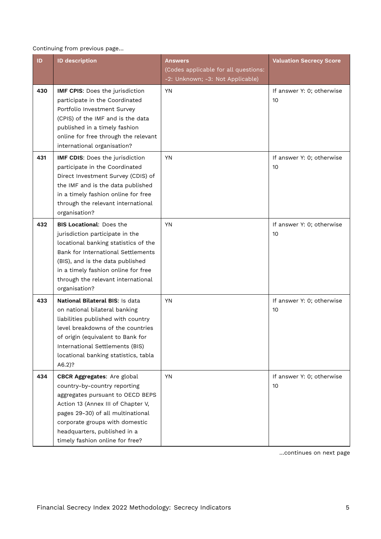## Continuing from previous page…

| ID  | <b>ID description</b>                                                                                                                                                                                                                                                                  | Answers                                                                  | <b>Valuation Secrecy Score</b>               |
|-----|----------------------------------------------------------------------------------------------------------------------------------------------------------------------------------------------------------------------------------------------------------------------------------------|--------------------------------------------------------------------------|----------------------------------------------|
|     |                                                                                                                                                                                                                                                                                        | (Codes applicable for all questions:<br>-2: Unknown; -3: Not Applicable) |                                              |
| 430 | IMF CPIS: Does the jurisdiction<br>participate in the Coordinated<br>Portfolio Investment Survey<br>(CPIS) of the IMF and is the data<br>published in a timely fashion<br>online for free through the relevant<br>international organisation?                                          | YN                                                                       | If answer Y: 0; otherwise<br>10              |
| 431 | IMF CDIS: Does the jurisdiction<br>participate in the Coordinated<br>Direct Investment Survey (CDIS) of<br>the IMF and is the data published<br>in a timely fashion online for free<br>through the relevant international<br>organisation?                                             | <b>YN</b>                                                                | If answer Y: 0; otherwise<br>10              |
| 432 | <b>BIS Locational: Does the</b><br>jurisdiction participate in the<br>locational banking statistics of the<br>Bank for International Settlements<br>(BIS), and is the data published<br>in a timely fashion online for free<br>through the relevant international<br>organisation?     | YN                                                                       | If answer Y: 0; otherwise<br>10              |
| 433 | National Bilateral BIS: Is data<br>on national bilateral banking<br>liabilities published with country<br>level breakdowns of the countries<br>of origin (equivalent to Bank for<br>International Settlements (BIS)<br>locational banking statistics, tabla<br>$A6.2$ ?                | <b>YN</b>                                                                | If answer Y: 0; otherwise<br>10              |
| 434 | <b>CBCR Aggregates:</b> Are global<br>country-by-country reporting<br>aggregates pursuant to OECD BEPS<br>Action 13 (Annex III of Chapter V,<br>pages 29-30) of all multinational<br>corporate groups with domestic<br>headquarters, published in a<br>timely fashion online for free? | <b>YN</b>                                                                | If answer Y: 0; otherwise<br>10 <sup>°</sup> |

…continues on next page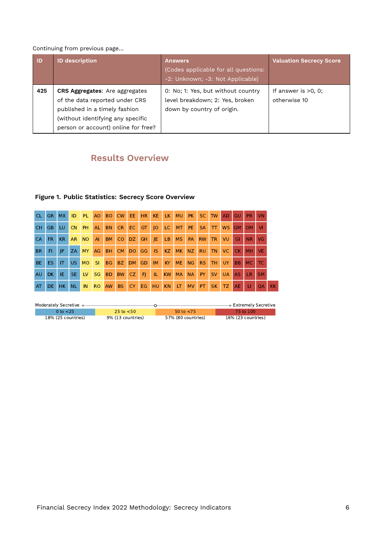### Continuing from previous page…

| $\blacksquare$ | <b>ID description</b>                                                                                                                                                                | <b>Answers</b><br>(Codes applicable for all questions:<br>-2: Unknown; -3: Not Applicable)          | <b>Valuation Secrecy Score</b>         |
|----------------|--------------------------------------------------------------------------------------------------------------------------------------------------------------------------------------|-----------------------------------------------------------------------------------------------------|----------------------------------------|
| 425            | <b>CRS Aggregates:</b> Are aggregates<br>of the data reported under CRS<br>published in a timely fashion<br>(without identifying any specific<br>person or account) online for free? | 0: No; 1: Yes, but without country<br>level breakdown; 2: Yes, broken<br>down by country of origin. | If answer is $>0$ , 0;<br>otherwise 10 |

## **Results Overview**

## **Figure 1. Public Statistics: Secrecy Score Overview**

| <b>CL</b> |       | GR MX | ID        |     |          |           | PL AO BO CW EE HR KE LK MU PK SC TW AD GU |       |     |                 |        |                |           |          |       |                   |           | PR.            | <b>VN</b> |           |
|-----------|-------|-------|-----------|-----|----------|-----------|-------------------------------------------|-------|-----|-----------------|--------|----------------|-----------|----------|-------|-------------------|-----------|----------------|-----------|-----------|
| <b>CH</b> | GB    | LU.   | CN        | PH. | AL.      | BN CR     |                                           | EC GT |     | $\overline{10}$ |        |                |           |          |       | LC MT PE SA TT WS | GM OM     |                | VI        |           |
| CA        | FR.   | KR.   | AR.       | NO. |          |           | AI BM CO DZ GH JE                         |       |     |                 | $ $ LB | MS             |           | PA RW TR |       | I VU              | GI.       | N <sub>R</sub> | <b>VG</b> |           |
| <b>BR</b> | FI.   | P     | ZA        | MY  | AG       | <b>BH</b> | CM DO GG IS                               |       |     |                 | KZ     | MK             |           |          |       | NZ RU TN VC CK    |           | <b>MH</b>      | <b>VE</b> |           |
| <b>BE</b> | ES IT |       | l US I    |     | MO SI BG |           | BZ DM GD IM KY                            |       |     |                 |        | ME NG RS TH UY |           |          |       |                   | <b>BB</b> | MC             | l TC      |           |
| AU.       | DK    | IE.   | SE.       |     |          |           | LV SG BD BW CZ FJ                         |       |     | l IL.           | KW     | <b>MA</b>      | <b>NA</b> | PY       | SV UA |                   | <b>AS</b> | LR.            | <b>SM</b> |           |
| AT        | DE.   | HK.   | <b>NL</b> | IN  |          | RO AW     | <b>BS</b>                                 | CY I  | EG. | HU              | KN     | <b>LT</b>      | MV PT     |          | SK TZ |                   | <b>AE</b> | П              | <b>OA</b> | <b>XK</b> |

| Moderately Secretive < |                       |                    | → Extremely Secretive |
|------------------------|-----------------------|--------------------|-----------------------|
| 0 to $<$ 25            | $25 \text{ to } < 50$ | 50 to $<$ 75       | 75 to 100             |
| 18% (25 countries)     | 9% (13 countries)     | 57% (80 countries) | 16% (23 countries)    |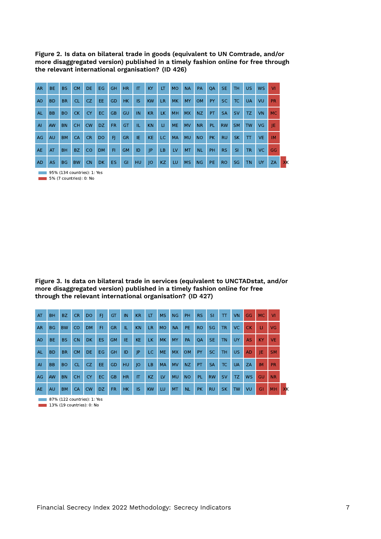**Figure 2. Is data on bilateral trade in goods (equivalent to UN Comtrade, and/or more disaggregated version) published in a timely fashion online for free through the relevant international organisation? (ID 426)**

| <b>AR</b>      | BE.       | <b>BS</b> | <b>CM</b> | <b>DE</b> | <b>EG</b> | <b>GH</b> | <b>HR</b> | IT  | KY        | LT        | <b>MO</b> | <b>NA</b> | PA             | <b>OA</b> | <b>SE</b> | <b>TH</b> | <b>US</b> | <b>WS</b> | VI.       |
|----------------|-----------|-----------|-----------|-----------|-----------|-----------|-----------|-----|-----------|-----------|-----------|-----------|----------------|-----------|-----------|-----------|-----------|-----------|-----------|
| A <sub>O</sub> | <b>BD</b> | <b>BR</b> | <b>CL</b> | CZ.       | EE.       | GD        | <b>HK</b> | IS  | <b>KW</b> | <b>LR</b> | <b>MK</b> | MY        | <b>OM</b>      | <b>PY</b> | <b>SC</b> | TC.       | <b>UA</b> | VU        | <b>PR</b> |
| AL             | <b>BB</b> | <b>BO</b> | <b>CK</b> | <b>CY</b> | EC.       | GB        | GU        | IN  | <b>KR</b> | LK.       | <b>MH</b> | <b>MX</b> | NZ.            | PT        | <b>SA</b> | <b>SV</b> | TZ.       | <b>VN</b> | <b>MC</b> |
| $\overline{A}$ | <b>AW</b> | <b>BN</b> | <b>CH</b> | <b>CW</b> | DZ.       | FR.       | GT        | IL. | <b>KN</b> | U.        | <b>ME</b> | <b>MV</b> | N <sub>R</sub> | <b>PL</b> | <b>RW</b> | <b>SM</b> | <b>TW</b> | <b>VG</b> | IE.       |
| AG             | <b>AU</b> | <b>BM</b> | <b>CA</b> | <b>CR</b> | DO.       | FI        | <b>GR</b> | IE. | KE.       | LC.       | <b>MA</b> | <b>MU</b> | <b>NO</b>      | <b>PK</b> | <b>RU</b> | <b>SK</b> | T         | <b>VE</b> | <b>IM</b> |
| <b>AE</b>      | AT        | <b>BH</b> | <b>BZ</b> | <b>CO</b> | <b>DM</b> | FI        | <b>GM</b> | ID  | JP        | LB.       | LV        | <b>MT</b> | <b>NL</b>      | <b>PH</b> | <b>RS</b> | <b>SI</b> | <b>TR</b> | VC.       | GG        |
| <b>AD</b>      | <b>AS</b> | <b>BG</b> | <b>BW</b> | <b>CN</b> | DK.       | ES.       | GI        | HU  | O         | KZ.       | LU        | <b>MS</b> | <b>NG</b>      | PE        | <b>RO</b> | SG        | <b>TN</b> | UY        | ZA        |

95% (134 countries): 1: Yes г 5% (7 countries): 0: No

**Figure 3. Is data on bilateral trade in services (equivalent to UNCTADstat, and/or more disaggregated version) published in a timely fashion online for free through the relevant international organisation? (ID 427)**

| AT        | <b>BH</b> | <b>BZ</b> | <b>CR</b> | <b>DO</b> | FI.       | <b>GT</b> | IN        | <b>KR</b> | LT.       | <b>MS</b> | NG        | <b>PH</b> | <b>RS</b> | <b>SI</b> | $\top$    | <b>VN</b> | GG        | <b>MC</b> | VI        |    |
|-----------|-----------|-----------|-----------|-----------|-----------|-----------|-----------|-----------|-----------|-----------|-----------|-----------|-----------|-----------|-----------|-----------|-----------|-----------|-----------|----|
| <b>AR</b> | BG        | <b>BW</b> | <b>CO</b> | <b>DM</b> | FI.       | <b>GR</b> | TE.       | <b>KN</b> | LR.       | <b>MO</b> | <b>NA</b> | <b>PE</b> | <b>RO</b> | <b>SG</b> | <b>TR</b> | VC.       | <b>CK</b> | $\Box$    | <b>VG</b> |    |
| AO        | BE.       | <b>BS</b> | <b>CN</b> | <b>DK</b> | <b>ES</b> | <b>GM</b> | IE.       | <b>KE</b> | LK.       | <b>MK</b> | MY.       | PA        | <b>OA</b> | <b>SE</b> | <b>TN</b> | UY.       | AS.       | <b>KY</b> | <b>VE</b> |    |
| <b>AL</b> | <b>BD</b> | <b>BR</b> | <b>CM</b> | DE.       | EG.       | GH.       | <b>ID</b> | P         | LC.       | <b>ME</b> | <b>MX</b> | <b>OM</b> | <b>PY</b> | SC.       | TH.       | US.       | <b>AD</b> | IE.       | <b>SM</b> |    |
| AI        | BB        | <b>BO</b> | <b>CL</b> | CZ.       | EE.       | GD.       | HU        | IO        | LB.       | <b>MA</b> | <b>MV</b> | <b>NZ</b> | PT        | <b>SA</b> | TC.       | <b>UA</b> | ZA        | <b>IM</b> | <b>PR</b> |    |
| AG        | <b>AW</b> | <b>BN</b> | <b>CH</b> | <b>CY</b> | EC.       | GB        | <b>HR</b> | IT        | KZ        | LV        | <b>MU</b> | <b>NO</b> | PL.       | <b>RW</b> | <b>SV</b> | TZ.       | <b>WS</b> | <b>GU</b> | <b>NR</b> |    |
| AE        | <b>AU</b> | <b>BM</b> | <b>CA</b> | <b>CW</b> | DZ.       | FR.       | <b>HK</b> | <b>IS</b> | <b>KW</b> | LU.       | MT        | <b>NL</b> | <b>PK</b> | <b>RU</b> | <b>SK</b> | <b>TW</b> | VU        | GI        | <b>MH</b> | XK |

**87%** (122 countries): 1: Yes 13% (19 countries): 0: No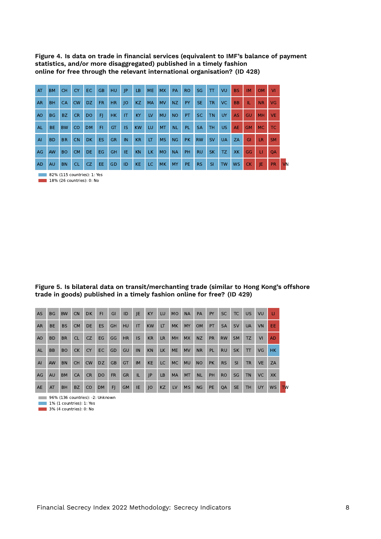**Figure 4. Is data on trade in financial services (equivalent to IMF's balance of payment statistics, and/or more disaggregated) published in a timely fashion online for free through the relevant international organisation? (ID 428)**

| AT             | <b>BM</b> | <b>CH</b> | <b>CY</b> | EC.       | GB. | HU        | JP        | LB        | <b>ME</b> | <b>MX</b> | PA        | <b>RO</b> | <b>SG</b> | T         | VU        | <b>BS</b> | <b>IM</b> | OM.       | <b>M</b>  |
|----------------|-----------|-----------|-----------|-----------|-----|-----------|-----------|-----------|-----------|-----------|-----------|-----------|-----------|-----------|-----------|-----------|-----------|-----------|-----------|
| <b>AR</b>      | <b>BH</b> | <b>CA</b> | <b>CW</b> | <b>DZ</b> | FR. | HR.       | O         | KZ        | <b>MA</b> | <b>MV</b> | NZ        | <b>PY</b> | SE.       | <b>TR</b> | VC.       | <b>BB</b> | TL.       | <b>NR</b> | VG        |
| A <sub>O</sub> | <b>BG</b> | BZ        | <b>CR</b> | <b>DO</b> | FI. | HK.       | IT        | KY        | LV        | <b>MU</b> | <b>NO</b> | PT.       | <b>SC</b> | <b>TN</b> | <b>UY</b> | <b>AS</b> | GU        | MH.       | <b>VE</b> |
| AL.            | BE.       | <b>BW</b> | <b>CO</b> | <b>DM</b> | FI. | <b>GT</b> | <b>IS</b> | <b>KW</b> | LU.       | <b>MT</b> | <b>NL</b> | PL        | <b>SA</b> | <b>TH</b> | US.       | <b>AE</b> | <b>GM</b> | MC        | TC        |
| AI             | <b>BD</b> | <b>BR</b> | <b>CN</b> | <b>DK</b> | ES. | <b>GR</b> | IN        | <b>KR</b> | LT        | <b>MS</b> | NG        | <b>PK</b> | <b>RW</b> | <b>SV</b> | <b>UA</b> | ZA        | GI        | <b>LR</b> | <b>SM</b> |
| AG             | AW        | <b>BO</b> | <b>CM</b> | <b>DE</b> | EG  | <b>GH</b> | IE.       | KN        | LK.       | <b>MO</b> | <b>NA</b> | PH.       | <b>RU</b> | <b>SK</b> | TZ.       | XK        | GG        | <b>LI</b> | <b>OA</b> |
| <b>AD</b>      | <b>AU</b> | <b>BN</b> | <b>CL</b> | CZ.       | EE. | GD        | ID        | <b>KE</b> | LC.       | <b>MK</b> | <b>MY</b> | PE.       | <b>RS</b> | <b>SI</b> | <b>TW</b> | <b>WS</b> | <b>CK</b> | IE        | <b>PR</b> |

**82% (115 countries): 1: Yes** 

**18%** (26 countries): 0: No

**Figure 5. Is bilateral data on transit/merchanting trade (similar to Hong Kong's offshore trade in goods) published in a timely fashion online for free? (ID 429)**

| <b>AS</b>      | <b>BG</b> | <b>BW</b> | <b>CN</b> | <b>DK</b> | F1        | GI        | ID        | JE.       | <b>KY</b> | <b>LU</b> | <b>MO</b> | <b>NA</b> | PA        | <b>PY</b> | SC.       | TC.       | <b>US</b>    | VU        | ш         |           |
|----------------|-----------|-----------|-----------|-----------|-----------|-----------|-----------|-----------|-----------|-----------|-----------|-----------|-----------|-----------|-----------|-----------|--------------|-----------|-----------|-----------|
| <b>AR</b>      | <b>BE</b> | <b>BS</b> | <b>CM</b> | <b>DE</b> | ES.       | <b>GH</b> | <b>HU</b> | IT        | <b>KW</b> | <b>LT</b> | <b>MK</b> | MY        | <b>OM</b> | <b>PT</b> | <b>SA</b> | <b>SV</b> | <b>UA</b>    | <b>VN</b> | EE.       |           |
| A <sub>O</sub> | <b>BD</b> | <b>BR</b> | <b>CL</b> | CZ        | <b>EG</b> | GG        | HR        | <b>IS</b> | KR        | <b>LR</b> | <b>MH</b> | <b>MX</b> | <b>NZ</b> | <b>PR</b> | <b>RW</b> | <b>SM</b> | TZ           | VI        | AD.       |           |
| AL             | <b>BB</b> | <b>BO</b> | <b>CK</b> | <b>CY</b> | EC.       | GD        | GU        | IN        | <b>KN</b> | LK.       | <b>ME</b> | <b>MV</b> | <b>NR</b> | PL        | <b>RU</b> | <b>SK</b> | $\mathsf{T}$ | <b>VG</b> | HK.       |           |
| AI             | <b>AW</b> | <b>BN</b> | <b>CH</b> | CW        | DZ.       | <b>GB</b> | GT        | <b>IM</b> | <b>KE</b> | LC.       | <b>MC</b> | <b>MU</b> | NO.       | <b>PK</b> | <b>RS</b> | <b>SI</b> | <b>TR</b>    | <b>VE</b> | ZA        |           |
| AG             | AU        | <b>BM</b> | <b>CA</b> | <b>CR</b> | DO        | <b>FR</b> | <b>GR</b> | IL.       | P         | <b>LB</b> | <b>MA</b> | <b>MT</b> | <b>NL</b> | PH        | <b>RO</b> | SG        | <b>TN</b>    | VC        | XK        |           |
| <b>AE</b>      | AT        | <b>BH</b> | <b>BZ</b> | CO        | <b>DM</b> | F         | <b>GM</b> | IE.       | IO        | KZ        | <b>LV</b> | <b>MS</b> | <b>NG</b> | <b>PE</b> | QA        | <b>SE</b> | <b>TH</b>    | <b>UY</b> | <b>WS</b> | <b>TW</b> |

96% (136 countries): -2: Unknown

1% (1 countries): 1: Yes

**120 3% (4 countries): 0: No**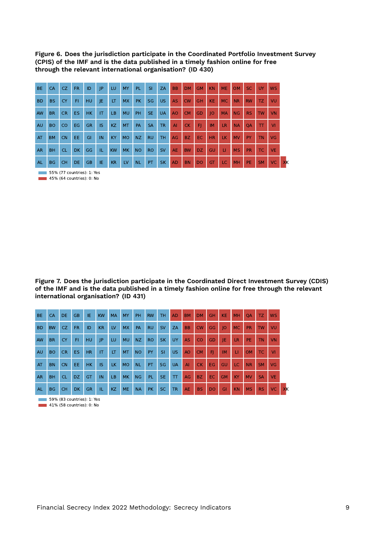**Figure 6. Does the jurisdiction participate in the Coordinated Portfolio Investment Survey (CPIS) of the IMF and is the data published in a timely fashion online for free through the relevant international organisation? (ID 430)**

| <b>BE</b> | <b>CA</b> | CZ.           | <b>FR</b> | ID        | P         | LU.       | <b>MY</b> | <b>PL</b> | <b>SI</b> | ZA        | <b>BB</b>      | <b>DM</b> | <b>GM</b> | <b>KN</b> | <b>ME</b>    | <b>OM</b> | SC.       | <b>UY</b> | <b>WS</b> |    |
|-----------|-----------|---------------|-----------|-----------|-----------|-----------|-----------|-----------|-----------|-----------|----------------|-----------|-----------|-----------|--------------|-----------|-----------|-----------|-----------|----|
| <b>BD</b> | <b>BS</b> | <b>CY</b>     | FI        | HU        | IE.       | LT        | <b>MX</b> | <b>PK</b> | <b>SG</b> | <b>US</b> | <b>AS</b>      | <b>CW</b> | <b>GH</b> | <b>KE</b> | <b>MC</b>    | <b>NR</b> | <b>RW</b> | TZ.       | VU        |    |
| AW        | <b>BR</b> | <b>CR</b>     | <b>ES</b> | <b>HK</b> | IT        | LB.       | <b>MU</b> | PH        | <b>SE</b> | <b>UA</b> | A <sub>O</sub> | <b>CM</b> | GD        | O         | <b>MA</b>    | NG        | <b>RS</b> | <b>TW</b> | <b>VN</b> |    |
| <b>AU</b> | <b>BO</b> | <sub>CO</sub> | <b>EG</b> | <b>GR</b> | <b>IS</b> | KZ        | <b>MT</b> | PA        | <b>SA</b> | <b>TR</b> | $\overline{A}$ | <b>CK</b> | FI        | IM        | LR.          | <b>NA</b> | <b>OA</b> | TT        | VI        |    |
| AT        | <b>BM</b> | <b>CN</b>     | EE.       | GI        | IN        | <b>KY</b> | <b>MO</b> | <b>NZ</b> | <b>RU</b> | <b>TH</b> | AG             | BZ.       | EC.       | <b>HR</b> | LK.          | <b>MV</b> | <b>PY</b> | <b>TN</b> | <b>VG</b> |    |
| <b>AR</b> | <b>BH</b> | <b>CL</b>     | <b>DK</b> | GG        | TL.       | <b>KW</b> | <b>MK</b> | <b>NO</b> | <b>RO</b> | <b>SV</b> | <b>AE</b>      | <b>BW</b> | DZ.       | GU        | $\mathbf{H}$ | <b>MS</b> | <b>PR</b> | TC        | <b>VE</b> |    |
| <b>AL</b> | <b>BG</b> | <b>CH</b>     | <b>DE</b> | <b>GB</b> | IE.       | <b>KR</b> | LV        | <b>NL</b> | PT        | <b>SK</b> | <b>AD</b>      | <b>BN</b> | <b>DO</b> | <b>GT</b> | LC.          | MH        | <b>PE</b> | <b>SM</b> | <b>VC</b> | XK |

55% (77 countries): 1: Yes т **45% (64 countries): 0: No** 

**Figure 7. Does the jurisdiction participate in the Coordinated Direct Investment Survey (CDIS) of the IMF and is the data published in a timely fashion online for free through the relevant international organisation? (ID 431)**

| <b>BE</b>       | CA        | <b>DE</b> | <b>GB</b> | IE.       | <b>KW</b> | <b>MA</b> | <b>MY</b> | <b>PH</b> | <b>RW</b> | TH.       | <b>AD</b>    | <b>BM</b> | <b>DM</b> | <b>GH</b> | <b>KE</b> | <b>MH</b> | <b>OA</b> | TZ.       | <b>WS</b>       |    |
|-----------------|-----------|-----------|-----------|-----------|-----------|-----------|-----------|-----------|-----------|-----------|--------------|-----------|-----------|-----------|-----------|-----------|-----------|-----------|-----------------|----|
| <b>BD</b>       | <b>BW</b> | CZ.       | <b>FR</b> | ID        | KR        | LV        | <b>MX</b> | PA        | <b>RU</b> | <b>SV</b> | <b>ZA</b>    | <b>BB</b> | <b>CW</b> | GG        | 10        | MC.       | <b>PR</b> | <b>TW</b> | VU              |    |
| AW              | <b>BR</b> | <b>CY</b> | F1        | HU        | P         | LU.       | <b>MU</b> | <b>NZ</b> | <b>RO</b> | <b>SK</b> | UY.          | <b>AS</b> | CO        | GD        | IE        | LR.       | PE.       | <b>TN</b> | VN              |    |
| <b>AU</b>       | <b>BO</b> | <b>CR</b> | <b>ES</b> | <b>HR</b> | <b>IT</b> | LT        | <b>MT</b> | <b>NO</b> | PY        | <b>SI</b> | US.          | AO        | <b>CM</b> | F1        | <b>IM</b> | <b>LI</b> | OM.       | TC.       | VI              |    |
| AT              | <b>BN</b> | <b>CN</b> | EE.       | <b>HK</b> | <b>IS</b> | LK.       | <b>MO</b> | <b>NL</b> | PT        | <b>SG</b> | <b>UA</b>    | AI        | <b>CK</b> | EG.       | GU        | LC.       | <b>NR</b> | <b>SM</b> | VG              |    |
| <b>AR</b>       | <b>BH</b> | <b>CL</b> | <b>DZ</b> | GT        | IN        | LB.       | <b>MK</b> | NG        | PL.       | SE.       | $\mathsf{T}$ | AG        | BZ.       | EC.       | <b>GM</b> | KY.       | <b>MV</b> | <b>SA</b> | <b>VE</b>       |    |
| AL <sub>1</sub> | <b>BG</b> | <b>CH</b> | DK        | <b>GR</b> | TL.       | KZ        | <b>ME</b> | <b>NA</b> | <b>PK</b> | SC.       | TR.          | <b>AE</b> | <b>BS</b> | <b>DO</b> | GI        | <b>KN</b> | <b>MS</b> | <b>RS</b> | VC <sub>2</sub> | XK |

**59% (83 countries): 1: Yes 41% (58 countries): 0: No**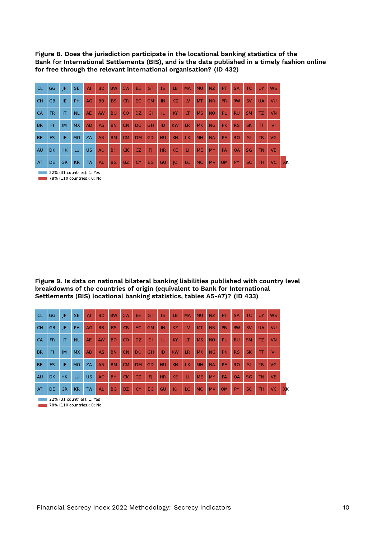**Figure 8. Does the jurisdiction participate in the locational banking statistics of the Bank for International Settlements (BIS), and is the data published in a timely fashion online for free through the relevant international organisation? (ID 432)**

| <b>CL</b> | GG.       | P                      | <b>SE</b> | AI        | <b>BD</b> | <b>BW</b> | <b>CW</b> | EE.       | GT        | <b>IS</b> | LB        | <b>MA</b> | <b>MU</b>      | <b>NZ</b> | <b>PT</b> | <b>SA</b> | TC.       | <b>UY</b> | <b>WS</b>       |    |
|-----------|-----------|------------------------|-----------|-----------|-----------|-----------|-----------|-----------|-----------|-----------|-----------|-----------|----------------|-----------|-----------|-----------|-----------|-----------|-----------------|----|
| <b>CH</b> | <b>GB</b> | JE                     | PH.       | AG        | <b>BB</b> | <b>BS</b> | <b>CR</b> | EC.       | <b>GM</b> | IN        | KZ        | LV        | M <sub>T</sub> | <b>NR</b> | <b>PR</b> | <b>RW</b> | <b>SV</b> | <b>UA</b> | VU              |    |
| CA        | FR.       | $\mathsf{I}\mathsf{T}$ | <b>NL</b> | <b>AE</b> | AW        | <b>BO</b> | CO        | DZ.       | GI        | TL.       | <b>KY</b> | <b>IT</b> | <b>MS</b>      | <b>NO</b> | PL.       | <b>RU</b> | <b>SM</b> | TZ.       | VN              |    |
| <b>BR</b> | FI        | <b>IM</b>              | <b>MX</b> | <b>AD</b> | <b>AS</b> | <b>BN</b> | <b>CN</b> | DO.       | <b>GH</b> | ID        | <b>KW</b> | <b>LR</b> | <b>MK</b>      | <b>NG</b> | <b>PK</b> | <b>RS</b> | SK.       | T         | <b>VI</b>       |    |
| <b>BE</b> | <b>ES</b> | IE.                    | <b>MO</b> | <b>ZA</b> | <b>AR</b> | <b>BM</b> | <b>CM</b> | <b>DM</b> | GD        | <b>HU</b> | <b>KN</b> | LK.       | <b>MH</b>      | <b>NA</b> | PE.       | <b>RO</b> | <b>SI</b> | <b>TR</b> | <b>VG</b>       |    |
| AU        | DK.       | HK.                    | LU        | <b>US</b> | <b>AO</b> | <b>BH</b> | CK.       | CZ.       | F)        | <b>HR</b> | <b>KE</b> | LI.       | <b>ME</b>      | <b>MY</b> | PA        | <b>OA</b> | <b>SG</b> | <b>TN</b> | VE.             |    |
| AT        | DE.       | <b>GR</b>              | <b>KR</b> | <b>TW</b> | <b>AL</b> | BG        | BZ.       | <b>CY</b> | EG.       | GU        | O         | LC.       | <b>MC</b>      | <b>MV</b> | <b>OM</b> | PY        | SC.       | <b>TH</b> | VC <sub>2</sub> | XK |

**22% (31 countries): 1: Yes** 

**78% (110 countries): 0: No** 

**Figure 9. Is data on national bilateral banking liabilities published with country level breakdowns of the countries of origin (equivalent to Bank for International Settlements (BIS) locational banking statistics, tables A5-A7)? (ID 433)**

| <b>CL</b> | GG        | P         | <b>SE</b> | AI        | <b>BD</b> | <b>BW</b> | <b>CW</b> | EE.       | GT        | <b>IS</b> | LB              | <b>MA</b> | <b>MU</b> | NZ        | <b>PT</b> | <b>SA</b> | TC.       | <b>UY</b> | <b>WS</b> |    |
|-----------|-----------|-----------|-----------|-----------|-----------|-----------|-----------|-----------|-----------|-----------|-----------------|-----------|-----------|-----------|-----------|-----------|-----------|-----------|-----------|----|
| <b>CH</b> | <b>GB</b> | JE        | <b>PH</b> | AG        | <b>BB</b> | <b>BS</b> | <b>CR</b> | EC.       | <b>GM</b> | IN        | KZ              | LV        | <b>MT</b> | <b>NR</b> | <b>PR</b> | <b>RW</b> | <b>SV</b> | <b>UA</b> | VU        |    |
| CA        | FR.       | IT        | <b>NL</b> | <b>AE</b> | <b>AW</b> | <b>BO</b> | CO        | DZ.       | GI        | TB        | KY              | LT        | <b>MS</b> | <b>NO</b> | PL.       | <b>RU</b> | <b>SM</b> | TZ.       | VN        |    |
| <b>BR</b> | FI        | <b>IM</b> | <b>MX</b> | <b>AD</b> | <b>AS</b> | <b>BN</b> | <b>CN</b> | <b>DO</b> | GH        | ID        | KW              | <b>LR</b> | <b>MK</b> | <b>NG</b> | <b>PK</b> | <b>RS</b> | <b>SK</b> | TT        | <b>VI</b> |    |
| <b>BE</b> | <b>ES</b> | IE.       | <b>MO</b> | <b>ZA</b> | <b>AR</b> | <b>BM</b> | <b>CM</b> | <b>DM</b> | GD        | HU.       | <b>KN</b>       | LK.       | <b>MH</b> | <b>NA</b> | PE.       | <b>RO</b> | <b>SI</b> | <b>TR</b> | <b>VG</b> |    |
| AU        | DK.       | <b>HK</b> | LU        | <b>US</b> | <b>AO</b> | <b>BH</b> | CK.       | CZ        | F1        | <b>HR</b> | KE <sup>1</sup> | <b>U</b>  | <b>ME</b> | <b>MY</b> | <b>PA</b> | <b>OA</b> | <b>SG</b> | <b>TN</b> | <b>VE</b> |    |
| AT        | DE.       | <b>GR</b> | <b>KR</b> | <b>TW</b> | <b>AL</b> | <b>BG</b> | BZ        | <b>CY</b> | EG        | <b>GU</b> | O               | LC.       | <b>MC</b> | <b>MV</b> | <b>OM</b> | <b>PY</b> | SC.       | <b>TH</b> | VC.       | XK |

**22% (31 countries): 1: Yes 78% (110 countries): 0: No**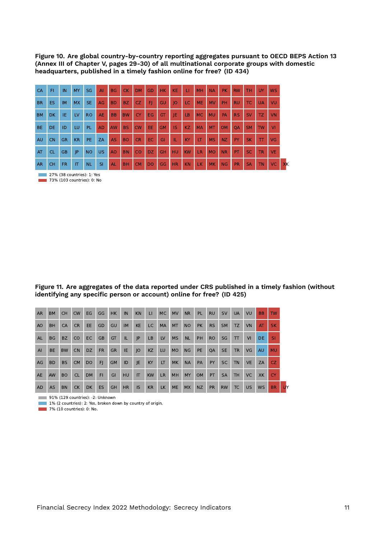**Figure 10. Are global country-by-country reporting aggregates pursuant to OECD BEPS Action 13 (Annex III of Chapter V, pages 29-30) of all multinational corporate groups with domestic headquarters, published in a timely fashion online for free? (ID 434)**

| CA        | FI.  | <b>IN</b>   | <b>MY</b>      | <b>SG</b> | <b>AI</b> | <b>BG</b>   |           | CK DM     | GD          | HK.       | KE                          | $\mathbf{H}$   | MH        | <b>NA</b>   | PK       | <b>RW</b> | TH.            | UY.          | <b>WS</b>             |
|-----------|------|-------------|----------------|-----------|-----------|-------------|-----------|-----------|-------------|-----------|-----------------------------|----------------|-----------|-------------|----------|-----------|----------------|--------------|-----------------------|
| <b>BR</b> | ES.  | IM          | <b>MX</b>      | SE.       | AG        | BD.         | BZ.       | CZ.       | FL.         | GU        | $ 0\rangle$                 | LC.            | <b>ME</b> | MV          | PH.      | RU -      | TC             | <b>UA</b>    | VU                    |
| <b>BM</b> | DK - | <b>TIEA</b> | LV             | <b>RO</b> | AE        | <b>BB</b>   | <b>BW</b> | CY.       | EG          | <b>GT</b> | <b>VE.</b>                  | LB             | <b>MC</b> | <b>MU</b>   | PA       | RS.       | SV <sub></sub> | TZ.          | VN                    |
| <b>BE</b> | DE.  | ID          | LU             | PL.       | AD        | AW          | <b>BS</b> | <b>CW</b> | EE.         | <b>GM</b> | $\overline{\phantom{a}}$ is | <b>KZ</b>      | <b>MA</b> | MT          | OM       | <b>QA</b> | SM             | <b>TW</b>    | VI                    |
| AU        | CN   | <b>GR</b>   | <b>KR</b>      | PE.       | <b>ZA</b> | <b>AS</b>   | <b>BO</b> | CR.       | EC          | GI        | TΕ                          | <b>KY</b>      | LT.       | <b>MS</b>   | NZ       | PY:       | <b>SK</b>      | $\mathbf{T}$ | <b>VG</b>             |
| AT        | CL.  | <b>GB</b>   | P              | <b>NO</b> | US.       | AO          | <b>BN</b> | <b>CO</b> | DZ          | GH.       | HU                          | KW             | LR.       |             | MO NR PT |           |                | SC TR        | <b>VE</b>             |
| <b>AR</b> | CH.  | FR.         | $ \mathsf{T} $ | NL        | SI        | <b>TAL.</b> | BH        |           | CM DO GG HR |           |                             | K <sub>N</sub> |           | LK MK NG PR |          |           | <b>SA</b>      | TN           | $\sqrt{C}$ $\sqrt{K}$ |

**27% (38 countries): 1: Yes** 

**73% (103 countries): 0: No** 

**Figure 11. Are aggregates of the data reported under CRS published in a timely fashion (without identifying any specific person or account) online for free? (ID 425)**

| <b>AR</b>      | <b>BM</b> | <b>CH</b> | <b>CW</b> | EG             | GG        | HK.       | IN        | <b>KN</b> | $\mathbf{H}$ | <b>MC</b> | <b>MV</b> | <b>NR</b> | <b>PL</b> | <b>RU</b> | <b>SV</b> | <b>UA</b> | VU        | <b>BB</b> | <b>TW</b> |
|----------------|-----------|-----------|-----------|----------------|-----------|-----------|-----------|-----------|--------------|-----------|-----------|-----------|-----------|-----------|-----------|-----------|-----------|-----------|-----------|
| A <sub>O</sub> | <b>BH</b> | CA        | <b>CR</b> | EE.            | <b>GD</b> | GU        | <b>IM</b> | <b>KE</b> | LC.          | <b>MA</b> | <b>MT</b> | <b>NO</b> | <b>PK</b> | <b>RS</b> | <b>SM</b> | <b>TZ</b> | <b>VN</b> | AT.       | <b>SK</b> |
| <b>AL</b>      | <b>BG</b> | <b>BZ</b> | CO        | EC.            | <b>GB</b> | GT        | <b>IL</b> | P         | <b>LB</b>    | LV        | <b>MS</b> | <b>NL</b> | PH        | <b>RO</b> | SG        | T         | VI        | DE.       | SI.       |
| AI             | <b>BE</b> | <b>BW</b> | <b>CN</b> | <b>DZ</b>      | <b>FR</b> | <b>GR</b> | IE.       | JO        | <b>KZ</b>    | LU        | MO        | <b>NG</b> | PE        | QA        | <b>SE</b> | <b>TR</b> | VG.       | <b>AU</b> | <b>MU</b> |
| AG             | <b>BD</b> | <b>BS</b> | <b>CM</b> | D <sub>O</sub> | FI.       | <b>GM</b> | ID        | JE        | KY           | LT.       | MK.       | <b>NA</b> | PA        | <b>PY</b> | <b>SC</b> | <b>TN</b> | <b>VE</b> | ZA        | CZ.       |
| <b>AE</b>      | AW        | <b>BO</b> | <b>CL</b> | <b>DM</b>      | <b>FI</b> | GI        | <b>HU</b> | IT        | <b>KW</b>    | <b>LR</b> | <b>MH</b> | <b>MY</b> | <b>OM</b> | <b>PT</b> | <b>SA</b> | <b>TH</b> | <b>VC</b> | XK        | <b>CY</b> |
| <b>AD</b>      | <b>AS</b> | <b>BN</b> | <b>CK</b> | <b>DK</b>      | <b>ES</b> | <b>GH</b> | <b>HR</b> | <b>IS</b> | <b>KR</b>    | <b>LK</b> | ME        | <b>MX</b> | <b>NZ</b> | <b>PR</b> | <b>RW</b> | <b>TC</b> | <b>US</b> | <b>WS</b> | <b>BR</b> |

91% (129 countries): -2: Unknown

1% (2 countries): 2: Yes, broken down by country of origin.

7% (10 countries): 0: No. п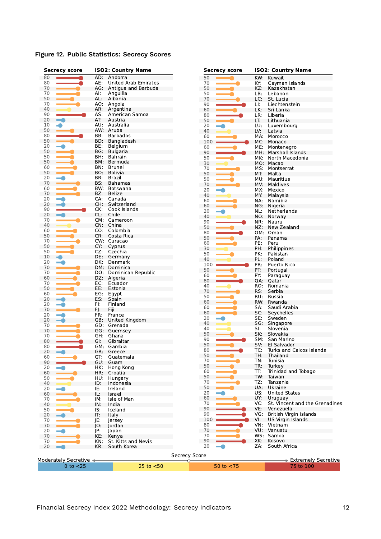|  |  | Figure 12. Public Statistics: Secrecy Scores |  |  |
|--|--|----------------------------------------------|--|--|
|--|--|----------------------------------------------|--|--|

| 80<br>80<br>70<br>70<br>50<br>70<br>40<br>90<br>20<br>10<br>50<br>80<br>50<br>20<br>50<br>50<br>50<br>60 | AD:<br>AE:<br>AG:<br>AI:<br>AL:<br>AO:<br>AR:<br>AS:<br>AT:<br>AW:<br>BB:<br>BD:<br>BE:<br>BG:<br>BH:<br>BM:<br>BN:<br>BO.<br>BR: | Andorra<br>United Arab Emirates<br>Antigua and Barbuda<br>Anguilla<br>Albania<br>Angola<br>Argentina<br>American Samoa<br>Austria<br>AU: Australia<br>Aruba<br><b>Barbados</b><br>Bangladesh<br>Belgium<br><b>Bulgaria</b><br>Bahrain<br>Bermuda | 50<br>70<br>50<br>50<br>70<br>90<br>60<br>80<br>50<br>20<br>40<br>60<br>100<br>60<br>90<br>50 | KW:<br>KY:<br>KZ:<br>LB:<br>LC:<br>LI:<br>LK:<br>LR:<br>LT:<br>LU:<br>LV:<br>MA:<br>MC:<br>ME: | Kuwait<br>Cayman Islands<br>Kazakhstan<br>Lebanon<br>St. Lucia<br>Liechtenstein<br>Sri Lanka<br>Liberia<br>Lithuania<br>Luxembourg<br>Latvia<br>Morocco<br>Monaco |
|----------------------------------------------------------------------------------------------------------|-----------------------------------------------------------------------------------------------------------------------------------|--------------------------------------------------------------------------------------------------------------------------------------------------------------------------------------------------------------------------------------------------|-----------------------------------------------------------------------------------------------|------------------------------------------------------------------------------------------------|-------------------------------------------------------------------------------------------------------------------------------------------------------------------|
|                                                                                                          |                                                                                                                                   |                                                                                                                                                                                                                                                  |                                                                                               |                                                                                                |                                                                                                                                                                   |
|                                                                                                          |                                                                                                                                   |                                                                                                                                                                                                                                                  |                                                                                               |                                                                                                |                                                                                                                                                                   |
|                                                                                                          |                                                                                                                                   |                                                                                                                                                                                                                                                  |                                                                                               |                                                                                                |                                                                                                                                                                   |
|                                                                                                          |                                                                                                                                   |                                                                                                                                                                                                                                                  |                                                                                               |                                                                                                |                                                                                                                                                                   |
|                                                                                                          |                                                                                                                                   |                                                                                                                                                                                                                                                  |                                                                                               |                                                                                                |                                                                                                                                                                   |
|                                                                                                          |                                                                                                                                   |                                                                                                                                                                                                                                                  |                                                                                               |                                                                                                |                                                                                                                                                                   |
|                                                                                                          |                                                                                                                                   |                                                                                                                                                                                                                                                  |                                                                                               |                                                                                                |                                                                                                                                                                   |
|                                                                                                          |                                                                                                                                   |                                                                                                                                                                                                                                                  |                                                                                               |                                                                                                |                                                                                                                                                                   |
|                                                                                                          |                                                                                                                                   |                                                                                                                                                                                                                                                  |                                                                                               |                                                                                                |                                                                                                                                                                   |
|                                                                                                          |                                                                                                                                   |                                                                                                                                                                                                                                                  |                                                                                               |                                                                                                |                                                                                                                                                                   |
|                                                                                                          |                                                                                                                                   |                                                                                                                                                                                                                                                  |                                                                                               |                                                                                                |                                                                                                                                                                   |
|                                                                                                          |                                                                                                                                   |                                                                                                                                                                                                                                                  |                                                                                               |                                                                                                |                                                                                                                                                                   |
|                                                                                                          |                                                                                                                                   |                                                                                                                                                                                                                                                  |                                                                                               |                                                                                                |                                                                                                                                                                   |
|                                                                                                          |                                                                                                                                   |                                                                                                                                                                                                                                                  |                                                                                               |                                                                                                | Montenegro                                                                                                                                                        |
|                                                                                                          |                                                                                                                                   |                                                                                                                                                                                                                                                  |                                                                                               | MH:                                                                                            | Marshall Islands                                                                                                                                                  |
|                                                                                                          |                                                                                                                                   |                                                                                                                                                                                                                                                  |                                                                                               | MK:                                                                                            | North Macedonia                                                                                                                                                   |
|                                                                                                          |                                                                                                                                   |                                                                                                                                                                                                                                                  | 30                                                                                            |                                                                                                | MO: Macao                                                                                                                                                         |
|                                                                                                          |                                                                                                                                   | Brunei                                                                                                                                                                                                                                           | 70                                                                                            | MS:                                                                                            | Montserrat                                                                                                                                                        |
| 50                                                                                                       |                                                                                                                                   | Bolivia                                                                                                                                                                                                                                          | 50                                                                                            | MT:                                                                                            | Malta                                                                                                                                                             |
| 20                                                                                                       |                                                                                                                                   | Brazil                                                                                                                                                                                                                                           | 50                                                                                            | MU:                                                                                            | Mauritius                                                                                                                                                         |
| 70                                                                                                       | BS:                                                                                                                               | Bahamas                                                                                                                                                                                                                                          | 70                                                                                            | MV.                                                                                            | Maldives                                                                                                                                                          |
| 60                                                                                                       | BW:                                                                                                                               | Botswana                                                                                                                                                                                                                                         | 20                                                                                            | MX:                                                                                            | Mexico                                                                                                                                                            |
| 70                                                                                                       | BZ:                                                                                                                               | Belize                                                                                                                                                                                                                                           | 40                                                                                            | MY:                                                                                            | Malaysia                                                                                                                                                          |
| 20                                                                                                       | CA:                                                                                                                               | Canada                                                                                                                                                                                                                                           | 60                                                                                            | NA:                                                                                            | Namibia                                                                                                                                                           |
| 20                                                                                                       | CH:                                                                                                                               | Switzerland                                                                                                                                                                                                                                      | 60                                                                                            | NG:                                                                                            | Nigeria                                                                                                                                                           |
| 90                                                                                                       | CK:                                                                                                                               | Cook Islands                                                                                                                                                                                                                                     | 20                                                                                            | NL:                                                                                            | Netherlands                                                                                                                                                       |
| 20                                                                                                       | CL:                                                                                                                               | Chile                                                                                                                                                                                                                                            | 40                                                                                            | NO:                                                                                            |                                                                                                                                                                   |
| 70                                                                                                       |                                                                                                                                   | CM: Cameroon                                                                                                                                                                                                                                     |                                                                                               |                                                                                                | Norway                                                                                                                                                            |
| 40                                                                                                       | CN:                                                                                                                               | China                                                                                                                                                                                                                                            | 90                                                                                            | NR:                                                                                            | Nauru                                                                                                                                                             |
| 60                                                                                                       | CO:                                                                                                                               | Colombia                                                                                                                                                                                                                                         | 50                                                                                            | NZ:                                                                                            | New Zealand                                                                                                                                                       |
| 50                                                                                                       | CR:                                                                                                                               | Costa Rica                                                                                                                                                                                                                                       | 80                                                                                            |                                                                                                | OM: Oman                                                                                                                                                          |
| 70                                                                                                       |                                                                                                                                   | CW: Curacao                                                                                                                                                                                                                                      | 50                                                                                            | PA:                                                                                            | Panama                                                                                                                                                            |
| 50                                                                                                       | CY:                                                                                                                               | Cyprus                                                                                                                                                                                                                                           | 60                                                                                            | PE:                                                                                            | Peru                                                                                                                                                              |
| 50                                                                                                       | CZ:                                                                                                                               | Czechia                                                                                                                                                                                                                                          | 30                                                                                            | PH:                                                                                            | Philippines                                                                                                                                                       |
| 10                                                                                                       | DE:                                                                                                                               | Germany                                                                                                                                                                                                                                          | 50                                                                                            | PK:                                                                                            | Pakistan                                                                                                                                                          |
| 20                                                                                                       | DK:                                                                                                                               | Denmark                                                                                                                                                                                                                                          | 40                                                                                            | PL:                                                                                            | Poland                                                                                                                                                            |
| 70                                                                                                       |                                                                                                                                   | DM: Dominica                                                                                                                                                                                                                                     | 100                                                                                           | PR:                                                                                            | Puerto Rico                                                                                                                                                       |
| 70                                                                                                       | DO:                                                                                                                               | Dominican Republic                                                                                                                                                                                                                               | 50                                                                                            | PT:                                                                                            | Portugal                                                                                                                                                          |
| 60                                                                                                       | DZ:                                                                                                                               | Algeria                                                                                                                                                                                                                                          | 60                                                                                            | PY:                                                                                            | Paraguay                                                                                                                                                          |
| 70                                                                                                       | EC:                                                                                                                               | Ecuador                                                                                                                                                                                                                                          | 80                                                                                            | QA:                                                                                            | Qatar                                                                                                                                                             |
| 50                                                                                                       |                                                                                                                                   | Estonia                                                                                                                                                                                                                                          | 40                                                                                            | RO:                                                                                            | Romania                                                                                                                                                           |
| 60                                                                                                       | EE:                                                                                                                               |                                                                                                                                                                                                                                                  | 70                                                                                            | RS:                                                                                            | Serbia                                                                                                                                                            |
|                                                                                                          | EG:                                                                                                                               | Egypt                                                                                                                                                                                                                                            | 50                                                                                            | RU:                                                                                            | Russia                                                                                                                                                            |
| 20                                                                                                       | ES:                                                                                                                               | Spain                                                                                                                                                                                                                                            | 60                                                                                            |                                                                                                | RW: Rwanda                                                                                                                                                        |
| 20                                                                                                       | FI:                                                                                                                               | Finland                                                                                                                                                                                                                                          | 60                                                                                            | SA:                                                                                            | Saudi Arabia                                                                                                                                                      |
| 70                                                                                                       | FJ:                                                                                                                               | Fiji                                                                                                                                                                                                                                             | 60                                                                                            | SC:                                                                                            | Seychelles                                                                                                                                                        |
| 20                                                                                                       | FR:                                                                                                                               | France                                                                                                                                                                                                                                           | 20                                                                                            | SE:                                                                                            | Sweden                                                                                                                                                            |
| 20                                                                                                       | GB:                                                                                                                               | United Kingdom                                                                                                                                                                                                                                   | 40                                                                                            | SG:                                                                                            | Singapore                                                                                                                                                         |
| 70                                                                                                       | GD:                                                                                                                               | Grenada                                                                                                                                                                                                                                          | 40                                                                                            | SI:                                                                                            | Slovenia                                                                                                                                                          |
| 70                                                                                                       | GG:                                                                                                                               | Guernsey                                                                                                                                                                                                                                         | 50                                                                                            | SK:                                                                                            | Slovakia                                                                                                                                                          |
| 70                                                                                                       | GH.                                                                                                                               | Ghana                                                                                                                                                                                                                                            | 90                                                                                            | SM:                                                                                            | San Marino                                                                                                                                                        |
| 80                                                                                                       | GI.                                                                                                                               | Gibraltar                                                                                                                                                                                                                                        | 50                                                                                            | SV:                                                                                            | El Salvador                                                                                                                                                       |
| 80                                                                                                       |                                                                                                                                   | GM: Gambia                                                                                                                                                                                                                                       | 80                                                                                            | TC:                                                                                            | Turks and Caicos Islands                                                                                                                                          |
| 20<br>-0                                                                                                 | GR:                                                                                                                               | Greece                                                                                                                                                                                                                                           |                                                                                               |                                                                                                |                                                                                                                                                                   |
| 60                                                                                                       | GT:                                                                                                                               | Guatemala                                                                                                                                                                                                                                        | 50                                                                                            | TH:                                                                                            | Thailand                                                                                                                                                          |
| 90                                                                                                       | GU:                                                                                                                               | Guam                                                                                                                                                                                                                                             | 70                                                                                            | TN:                                                                                            | Tunisia                                                                                                                                                           |
| 20                                                                                                       | HK:                                                                                                                               | Hong Kong                                                                                                                                                                                                                                        | 50                                                                                            | TR:                                                                                            | Turkey                                                                                                                                                            |
| 60                                                                                                       | HR:                                                                                                                               | Croatia                                                                                                                                                                                                                                          | 60                                                                                            | TT:                                                                                            | Trinidad and Tobago                                                                                                                                               |
| 50                                                                                                       | HU:                                                                                                                               | Hungary                                                                                                                                                                                                                                          | 50                                                                                            | TW:                                                                                            | Taiwan                                                                                                                                                            |
| 40                                                                                                       | ID:                                                                                                                               | Indonesia                                                                                                                                                                                                                                        | 70                                                                                            | TZ:                                                                                            | Tanzania                                                                                                                                                          |
| 20                                                                                                       | IE:                                                                                                                               | Ireland                                                                                                                                                                                                                                          | 50                                                                                            | UA:                                                                                            | Ukraine                                                                                                                                                           |
| 60                                                                                                       | IL:                                                                                                                               | Israel                                                                                                                                                                                                                                           | 20                                                                                            | US:                                                                                            | <b>United States</b>                                                                                                                                              |
| 70                                                                                                       | IM:                                                                                                                               | Isle of Man                                                                                                                                                                                                                                      | 60                                                                                            | UY:                                                                                            | Uruguay                                                                                                                                                           |
| 40                                                                                                       | IN:                                                                                                                               | India                                                                                                                                                                                                                                            | 70                                                                                            | VC:                                                                                            | St. Vincent and the Grenadines                                                                                                                                    |
| 50                                                                                                       | IS:                                                                                                                               | Iceland                                                                                                                                                                                                                                          | 90                                                                                            | VE:                                                                                            | Venezuela                                                                                                                                                         |
| 20                                                                                                       | IT:                                                                                                                               | Italy                                                                                                                                                                                                                                            | 90                                                                                            | VG:                                                                                            | British Virgin Islands                                                                                                                                            |
| 70                                                                                                       | JE:                                                                                                                               | Jersey                                                                                                                                                                                                                                           | 100                                                                                           | VI:                                                                                            | US Virgin Islands                                                                                                                                                 |
| 70                                                                                                       | IO:                                                                                                                               | Jordan                                                                                                                                                                                                                                           | 80                                                                                            | VN:                                                                                            | Vietnam                                                                                                                                                           |
| 20                                                                                                       | JP:                                                                                                                               | Japan                                                                                                                                                                                                                                            | 70                                                                                            | VU:                                                                                            | Vanuatu                                                                                                                                                           |
| 70                                                                                                       | KE:                                                                                                                               | Kenya                                                                                                                                                                                                                                            | 70                                                                                            |                                                                                                | WS: Samoa                                                                                                                                                         |
| 70                                                                                                       | KN:                                                                                                                               | St. Kitts and Nevis                                                                                                                                                                                                                              | 90                                                                                            | XK:                                                                                            | Kosovo                                                                                                                                                            |
| 20                                                                                                       | KR:                                                                                                                               | South Korea                                                                                                                                                                                                                                      | 20<br>-0                                                                                      | ZA:                                                                                            | South Africa                                                                                                                                                      |
|                                                                                                          |                                                                                                                                   |                                                                                                                                                                                                                                                  |                                                                                               |                                                                                                |                                                                                                                                                                   |
|                                                                                                          |                                                                                                                                   |                                                                                                                                                                                                                                                  | Secrecy Score                                                                                 |                                                                                                |                                                                                                                                                                   |
| Moderately Secretive <                                                                                   |                                                                                                                                   |                                                                                                                                                                                                                                                  | œ                                                                                             |                                                                                                | > Extremely Secretive                                                                                                                                             |
|                                                                                                          | $0$ to $<$ 25                                                                                                                     | 25 to $<$ 50                                                                                                                                                                                                                                     | 50 to $<$ 75                                                                                  |                                                                                                | 75 to 100                                                                                                                                                         |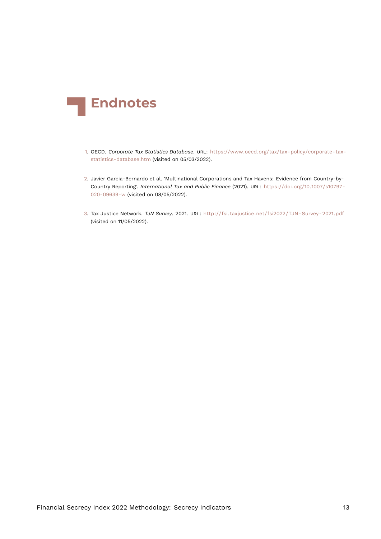<span id="page-12-3"></span>

- <span id="page-12-0"></span>[1.](#page-2-0) OECD. *Corporate Tax Statistics Database*. URL: [https://www.oecd.org/tax/tax-policy/corporate-tax](https://www.oecd.org/tax/tax-policy/corporate-tax-statistics-database.htm)[statistics-database.htm](https://www.oecd.org/tax/tax-policy/corporate-tax-statistics-database.htm) (visited on 05/03/2022).
- <span id="page-12-1"></span>[2.](#page-2-1) Javier Garcia-Bernardo et al. 'Multinational Corporations and Tax Havens: Evidence from Country-by-Country Reporting'. *International Tax and Public Finance* (2021). URL: [https://doi.org/10.1007/s10797-](https://doi.org/10.1007/s10797-020-09639-w) [020-09639-w](https://doi.org/10.1007/s10797-020-09639-w) (visited on 08/05/2022).
- <span id="page-12-2"></span>[3.](#page-2-2) Tax Justice Network. *TJN Survey*. 2021. URL: [http://fsi.taxjustice.net/fsi2022/TJN- Survey- 2021.pdf](http://fsi.taxjustice.net/fsi2022/TJN-Survey-2021.pdf) (visited on 11/05/2022).